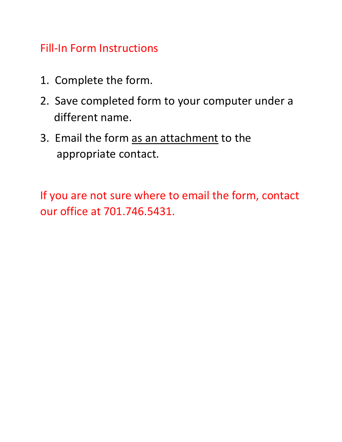# Fill-In Form Instructions

- 1. Complete the form.
- 2. Save completed form to your computer under a different name.
- 3. Email the form as an attachment to the appropriate contact.

If you are not sure where to email the form, contact our office at 701.746.5431.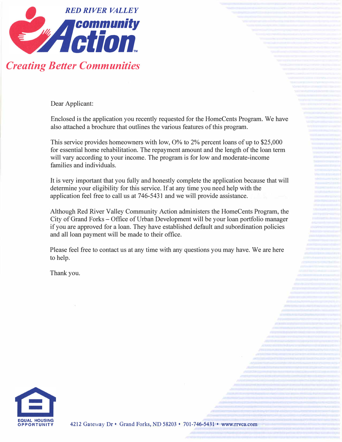

Dear Applicant:

Enclosed is the application you recently requested for the HomeCents Program. We have also attached a brochure that outlines the various features of this program.

This service provides homeowners with low,  $O\%$  to  $2\%$  percent loans of up to \$25,000 for essential home rehabilitation. The repayment amount and the length of the loan term will vary according to your income. The program is for low and moderate-income families and individuals.

It is very important that you fully and honestly complete the application because that will determine your eligibility for this service. If at any time you need help with the application feel free to call us at 746-5431 and we will provide assistance.

Although Red River Valley Community Action administers the HomeCents Program, the City of Grand Forks - Office of Urban Development will be your loan portfolio manager if you are approved for a loan. They have established default and subordination policies and all loan payment will be made to their office.

Please feel free to contact us at any time with any questions you may have. We are here to help.

Thank you.

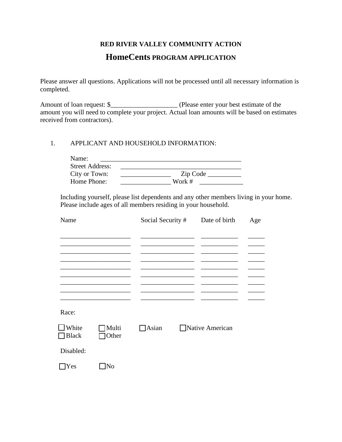# **RED RIVER VALLEY COMMUNITY ACTION HomeCents PROGRAM APPLICATION**

Please answer all questions. Applications will not be processed until all necessary information is completed.

Amount of loan request: \$\_\_\_\_\_\_\_\_\_\_\_\_\_\_\_\_\_\_\_\_ (Please enter your best estimate of the amount you will need to complete your project. Actual loan amounts will be based on estimates received from contractors).

#### 1. APPLICANT AND HOUSEHOLD INFORMATION:

| Name:                  |          |
|------------------------|----------|
| <b>Street Address:</b> |          |
| City or Town:          | Zip Code |
| Home Phone:            | Work #   |

Including yourself, please list dependents and any other members living in your home. Please include ages of all members residing in your household.

| Name                  |                | Social Security # | Date of birth    | Age |
|-----------------------|----------------|-------------------|------------------|-----|
|                       |                |                   |                  |     |
|                       |                |                   |                  |     |
|                       |                |                   |                  |     |
|                       |                |                   |                  |     |
|                       |                |                   |                  |     |
| Race:                 |                |                   |                  |     |
| White<br><b>Black</b> | Multi<br>Other | $\Box$ Asian      | □Native American |     |
| Disabled:             |                |                   |                  |     |
| Yes                   | No             |                   |                  |     |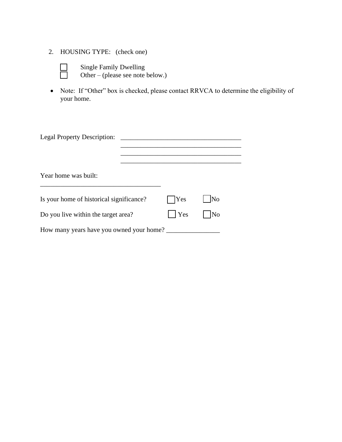- 2. HOUSING TYPE: (check one)
	-

Single Family Dwelling<br>
Other – (please see note) Other – (please see note below.)

• Note: If "Other" box is checked, please contact RRVCA to determine the eligibility of your home.

| <b>Legal Property Description:</b>       |            |                     |
|------------------------------------------|------------|---------------------|
|                                          |            |                     |
| Year home was built:                     |            |                     |
| Is your home of historical significance? | $\Box$ Yes | No                  |
| Do you live within the target area?      | Yes        | $\overline{\rm No}$ |
| How many years have you owned your home? |            |                     |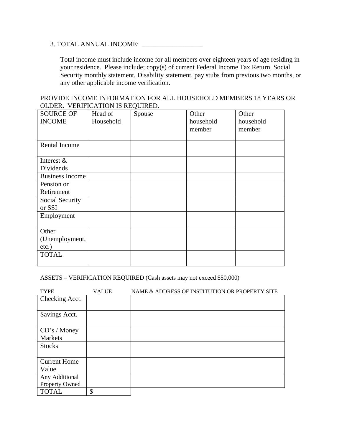#### 3. TOTAL ANNUAL INCOME: \_\_\_\_\_\_\_\_\_\_\_\_\_\_\_\_\_\_

Total income must include income for all members over eighteen years of age residing in your residence. Please include; copy(s) of current Federal Income Tax Return, Social Security monthly statement, Disability statement, pay stubs from previous two months, or any other applicable income verification.

PROVIDE INCOME INFORMATION FOR ALL HOUSEHOLD MEMBERS 18 YEARS OR OLDER. VERIFICATION IS REQUIRED.

| <b>SOURCE OF</b>       | Head of   | Spouse | Other     | Other     |
|------------------------|-----------|--------|-----------|-----------|
| <b>INCOME</b>          | Household |        | household | household |
|                        |           |        | member    | member    |
|                        |           |        |           |           |
| Rental Income          |           |        |           |           |
|                        |           |        |           |           |
| Interest $&$           |           |        |           |           |
| Dividends              |           |        |           |           |
| <b>Business Income</b> |           |        |           |           |
| Pension or             |           |        |           |           |
| Retirement             |           |        |           |           |
| Social Security        |           |        |           |           |
| or SSI                 |           |        |           |           |
| Employment             |           |        |           |           |
|                        |           |        |           |           |
| Other                  |           |        |           |           |
| (Unemployment,         |           |        |           |           |
| $etc.$ )               |           |        |           |           |
| <b>TOTAL</b>           |           |        |           |           |
|                        |           |        |           |           |

ASSETS – VERIFICATION REQUIRED (Cash assets may not exceed \$50,000)

| <b>TYPE</b>         | <b>VALUE</b> | NAME & ADDRESS OF INSTITUTION OR PROPERTY SITE |
|---------------------|--------------|------------------------------------------------|
| Checking Acct.      |              |                                                |
|                     |              |                                                |
| Savings Acct.       |              |                                                |
|                     |              |                                                |
| CD's / Money        |              |                                                |
| Markets             |              |                                                |
| <b>Stocks</b>       |              |                                                |
|                     |              |                                                |
| <b>Current Home</b> |              |                                                |
| Value               |              |                                                |
| Any Additional      |              |                                                |
| Property Owned      |              |                                                |
| <b>TOTAL</b>        | \$           |                                                |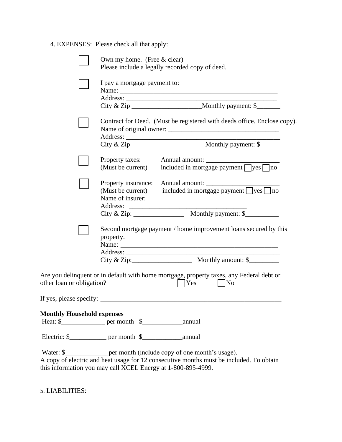4. EXPENSES: Please check all that apply:

|                                   | Own my home. (Free & clear)<br>Please include a legally recorded copy of deed.                                                                                                                                                         |
|-----------------------------------|----------------------------------------------------------------------------------------------------------------------------------------------------------------------------------------------------------------------------------------|
|                                   | I pay a mortgage payment to:                                                                                                                                                                                                           |
|                                   | Contract for Deed. (Must be registered with deeds office. Enclose copy).                                                                                                                                                               |
|                                   | (Must be current) included in mortgage payment $\Box$ yes $\Box$ no                                                                                                                                                                    |
|                                   | Property insurance: Annual amount:<br>(Must be current) included in mortgage payment $\Box$ yes $\Box$ no                                                                                                                              |
|                                   |                                                                                                                                                                                                                                        |
|                                   | Second mortgage payment / home improvement loans secured by this<br>property.<br>Name:<br>City & Zip: $\frac{1}{2}$ Monthly amount: \$                                                                                                 |
| other loan or obligation?         | Are you delinquent or in default with home mortgage, property taxes, any Federal debt or<br> Yes<br>$\overline{\rm No}$                                                                                                                |
| If yes, please specify:           |                                                                                                                                                                                                                                        |
| <b>Monthly Household expenses</b> |                                                                                                                                                                                                                                        |
|                                   |                                                                                                                                                                                                                                        |
|                                   | Water: \$___________________ per month (include copy of one month's usage).<br>A copy of electric and heat usage for 12 consecutive months must be included. To obtain<br>this information you may call XCEL Energy at 1-800-895-4999. |

5. LIABILITIES: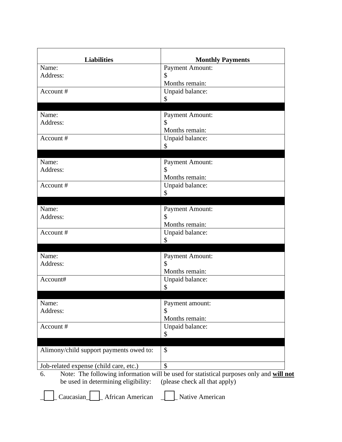| <b>Liabilities</b>                      | <b>Monthly Payments</b>                                                                 |
|-----------------------------------------|-----------------------------------------------------------------------------------------|
| Name:                                   | <b>Payment Amount:</b>                                                                  |
| Address:                                | \$                                                                                      |
|                                         | Months remain:                                                                          |
| Account #                               | Unpaid balance:                                                                         |
|                                         | \$                                                                                      |
| Name:                                   | <b>Payment Amount:</b>                                                                  |
| Address:                                | \$                                                                                      |
|                                         | Months remain:                                                                          |
| Account #                               | Unpaid balance:                                                                         |
|                                         | \$                                                                                      |
|                                         |                                                                                         |
| Name:                                   | <b>Payment Amount:</b>                                                                  |
| Address:                                | \$                                                                                      |
|                                         | Months remain:                                                                          |
| Account#                                | Unpaid balance:                                                                         |
|                                         | \$                                                                                      |
| Name:                                   | <b>Payment Amount:</b>                                                                  |
| Address:                                | \$                                                                                      |
|                                         | Months remain:                                                                          |
| Account#                                | Unpaid balance:                                                                         |
|                                         | \$                                                                                      |
|                                         |                                                                                         |
| Name:                                   | <b>Payment Amount:</b><br>\$                                                            |
| Address:                                |                                                                                         |
| Account#                                | Months remain:                                                                          |
|                                         | Unpaid balance:<br>\$                                                                   |
|                                         |                                                                                         |
| Name:                                   | Payment amount:                                                                         |
| Address:                                | \$                                                                                      |
|                                         | Months remain:                                                                          |
| Account#                                | Unpaid balance:                                                                         |
|                                         | \$                                                                                      |
| Alimony/child support payments owed to: | \$                                                                                      |
| Job-related expense (child care, etc.)  | $\mathcal{S}$                                                                           |
| 6.                                      | Note: The following information will be used for statistical purposes only and will not |
| be used in determining eligibility:     | (please check all that apply)                                                           |
| Caucasian<br>African American           | Native American                                                                         |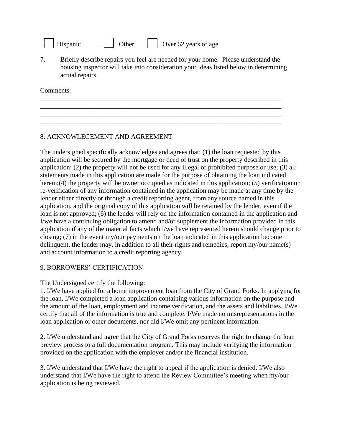| Hispanic |  | Other |  | Over 62 years of age |  |
|----------|--|-------|--|----------------------|--|
|          |  |       |  |                      |  |

7. Briefly describe repairs you feel are needed for your home. Please understand the housing inspector will take into consideration your ideas listed below in determining actual repairs.

\_\_\_\_\_\_\_\_\_\_\_\_\_\_\_\_\_\_\_\_\_\_\_\_\_\_\_\_\_\_\_\_\_\_\_\_\_\_\_\_\_\_\_\_\_\_\_\_\_\_\_\_\_\_\_\_\_\_\_\_\_\_\_\_\_\_\_\_\_\_\_\_ \_\_\_\_\_\_\_\_\_\_\_\_\_\_\_\_\_\_\_\_\_\_\_\_\_\_\_\_\_\_\_\_\_\_\_\_\_\_\_\_\_\_\_\_\_\_\_\_\_\_\_\_\_\_\_\_\_\_\_\_\_\_\_\_\_\_\_\_\_\_\_\_ \_\_\_\_\_\_\_\_\_\_\_\_\_\_\_\_\_\_\_\_\_\_\_\_\_\_\_\_\_\_\_\_\_\_\_\_\_\_\_\_\_\_\_\_\_\_\_\_\_\_\_\_\_\_\_\_\_\_\_\_\_\_\_\_\_\_\_\_\_\_\_\_ \_\_\_\_\_\_\_\_\_\_\_\_\_\_\_\_\_\_\_\_\_\_\_\_\_\_\_\_\_\_\_\_\_\_\_\_\_\_\_\_\_\_\_\_\_\_\_\_\_\_\_\_\_\_\_\_\_\_\_\_\_\_\_\_\_\_\_\_\_\_\_\_

Comments:

## 8. ACKNOWLEGEMENT AND AGREEMENT

The undersigned specifically acknowledges and agrees that: (1) the loan requested by this application will be secured by the mortgage or deed of trust on the property described in this application; (2) the property will not be used for any illegal or prohibited purpose or use; (3) all statements made in this application are made for the purpose of obtaining the loan indicated herein;(4) the property will be owner occupied as indicated in this application; (5) verification or re-verification of any information contained in the application may be made at any time by the lender either directly or through a credit reporting agent, from any source named in this application, and the original copy of this application will be retained by the lender, even if the loan is not approved; (6) the lender will rely on the information contained in the application and I/we have a continuing obligation to amend and/or supplement the information provided in this application if any of the material facts which I/we have represented herein should change prior to closing; (7) in the event my/our payments on the loan indicated in this application become delinquent, the lender may, in addition to all their rights and remedies, report my/our name(s) and account information to a credit reporting agency.

### 9. BORROWERS' CERTIFICATION

The Undersigned certify the following:

1. I/We have applied for a home improvement loan from the City of Grand Forks. In applying for the loan, I/We completed a loan application containing various information on the purpose and the amount of the loan, employment and income verification, and the assets and liabilities. I/We certify that all of the information is true and complete. I/We made no misrepresentations in the loan application or other documents, nor did I/We omit any pertinent information.

2. I/We understand and agree that the City of Grand Forks reserves the right to change the loan preview process to a full documentation program. This may include verifying the information provided on the application with the employer and/or the financial institution.

3. I/We understand that I/We have the right to appeal if the application is denied. I/We also understand that I/We have the right to attend the Review Committee's meeting when my/our application is being reviewed.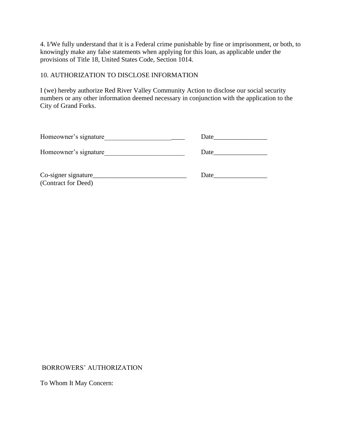4. I/We fully understand that it is a Federal crime punishable by fine or imprisonment, or both, to knowingly make any false statements when applying for this loan, as applicable under the provisions of Title 18, United States Code, Section 1014.

#### 10. AUTHORIZATION TO DISCLOSE INFORMATION

I (we) hereby authorize Red River Valley Community Action to disclose our social security numbers or any other information deemed necessary in conjunction with the application to the City of Grand Forks.

| Homeowner's signature                      | Date |
|--------------------------------------------|------|
| Homeowner's signature                      | Date |
| Co-signer signature<br>(Contract for Deed) | Date |

BORROWERS' AUTHORIZATION

To Whom It May Concern: